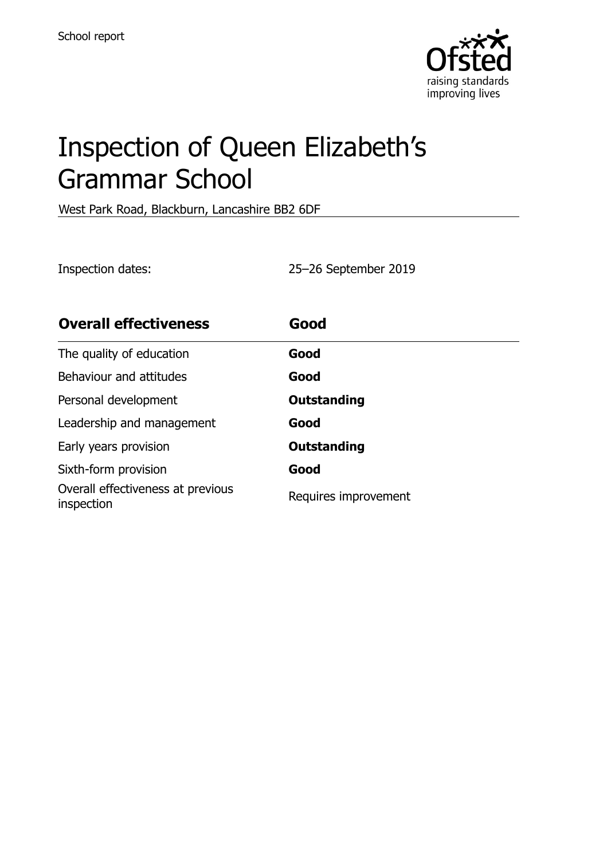

# Inspection of Queen Elizabeth's Grammar School

West Park Road, Blackburn, Lancashire BB2 6DF

Inspection dates: 25–26 September 2019

| <b>Overall effectiveness</b>                    | Good                 |
|-------------------------------------------------|----------------------|
| The quality of education                        | Good                 |
| Behaviour and attitudes                         | Good                 |
| Personal development                            | <b>Outstanding</b>   |
| Leadership and management                       | Good                 |
| Early years provision                           | <b>Outstanding</b>   |
| Sixth-form provision                            | Good                 |
| Overall effectiveness at previous<br>inspection | Requires improvement |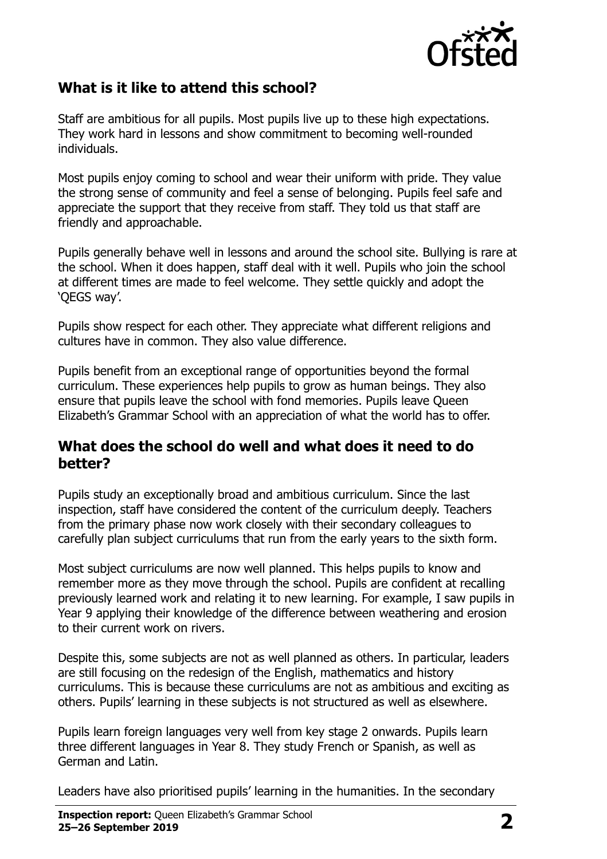

# **What is it like to attend this school?**

Staff are ambitious for all pupils. Most pupils live up to these high expectations. They work hard in lessons and show commitment to becoming well-rounded individuals.

Most pupils enjoy coming to school and wear their uniform with pride. They value the strong sense of community and feel a sense of belonging. Pupils feel safe and appreciate the support that they receive from staff. They told us that staff are friendly and approachable.

Pupils generally behave well in lessons and around the school site. Bullying is rare at the school. When it does happen, staff deal with it well. Pupils who join the school at different times are made to feel welcome. They settle quickly and adopt the 'QEGS way'.

Pupils show respect for each other. They appreciate what different religions and cultures have in common. They also value difference.

Pupils benefit from an exceptional range of opportunities beyond the formal curriculum. These experiences help pupils to grow as human beings. They also ensure that pupils leave the school with fond memories. Pupils leave Queen Elizabeth's Grammar School with an appreciation of what the world has to offer.

#### **What does the school do well and what does it need to do better?**

Pupils study an exceptionally broad and ambitious curriculum. Since the last inspection, staff have considered the content of the curriculum deeply. Teachers from the primary phase now work closely with their secondary colleagues to carefully plan subject curriculums that run from the early years to the sixth form.

Most subject curriculums are now well planned. This helps pupils to know and remember more as they move through the school. Pupils are confident at recalling previously learned work and relating it to new learning. For example, I saw pupils in Year 9 applying their knowledge of the difference between weathering and erosion to their current work on rivers.

Despite this, some subjects are not as well planned as others. In particular, leaders are still focusing on the redesign of the English, mathematics and history curriculums. This is because these curriculums are not as ambitious and exciting as others. Pupils' learning in these subjects is not structured as well as elsewhere.

Pupils learn foreign languages very well from key stage 2 onwards. Pupils learn three different languages in Year 8. They study French or Spanish, as well as German and Latin.

Leaders have also prioritised pupils' learning in the humanities. In the secondary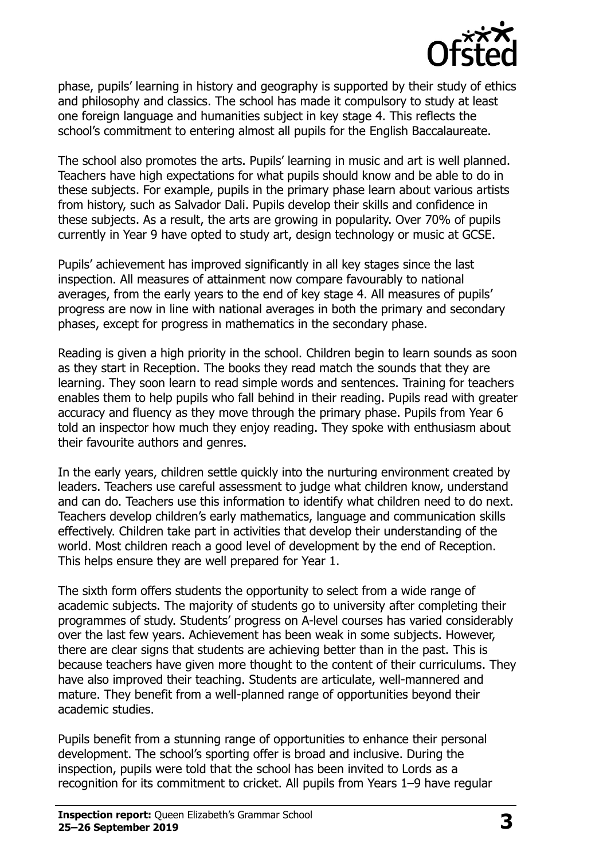

phase, pupils' learning in history and geography is supported by their study of ethics and philosophy and classics. The school has made it compulsory to study at least one foreign language and humanities subject in key stage 4. This reflects the school's commitment to entering almost all pupils for the English Baccalaureate.

The school also promotes the arts. Pupils' learning in music and art is well planned. Teachers have high expectations for what pupils should know and be able to do in these subjects. For example, pupils in the primary phase learn about various artists from history, such as Salvador Dali. Pupils develop their skills and confidence in these subjects. As a result, the arts are growing in popularity. Over 70% of pupils currently in Year 9 have opted to study art, design technology or music at GCSE.

Pupils' achievement has improved significantly in all key stages since the last inspection. All measures of attainment now compare favourably to national averages, from the early years to the end of key stage 4. All measures of pupils' progress are now in line with national averages in both the primary and secondary phases, except for progress in mathematics in the secondary phase.

Reading is given a high priority in the school. Children begin to learn sounds as soon as they start in Reception. The books they read match the sounds that they are learning. They soon learn to read simple words and sentences. Training for teachers enables them to help pupils who fall behind in their reading. Pupils read with greater accuracy and fluency as they move through the primary phase. Pupils from Year 6 told an inspector how much they enjoy reading. They spoke with enthusiasm about their favourite authors and genres.

In the early years, children settle quickly into the nurturing environment created by leaders. Teachers use careful assessment to judge what children know, understand and can do. Teachers use this information to identify what children need to do next. Teachers develop children's early mathematics, language and communication skills effectively. Children take part in activities that develop their understanding of the world. Most children reach a good level of development by the end of Reception. This helps ensure they are well prepared for Year 1.

The sixth form offers students the opportunity to select from a wide range of academic subjects. The majority of students go to university after completing their programmes of study. Students' progress on A-level courses has varied considerably over the last few years. Achievement has been weak in some subjects. However, there are clear signs that students are achieving better than in the past. This is because teachers have given more thought to the content of their curriculums. They have also improved their teaching. Students are articulate, well-mannered and mature. They benefit from a well-planned range of opportunities beyond their academic studies.

Pupils benefit from a stunning range of opportunities to enhance their personal development. The school's sporting offer is broad and inclusive. During the inspection, pupils were told that the school has been invited to Lords as a recognition for its commitment to cricket. All pupils from Years 1–9 have regular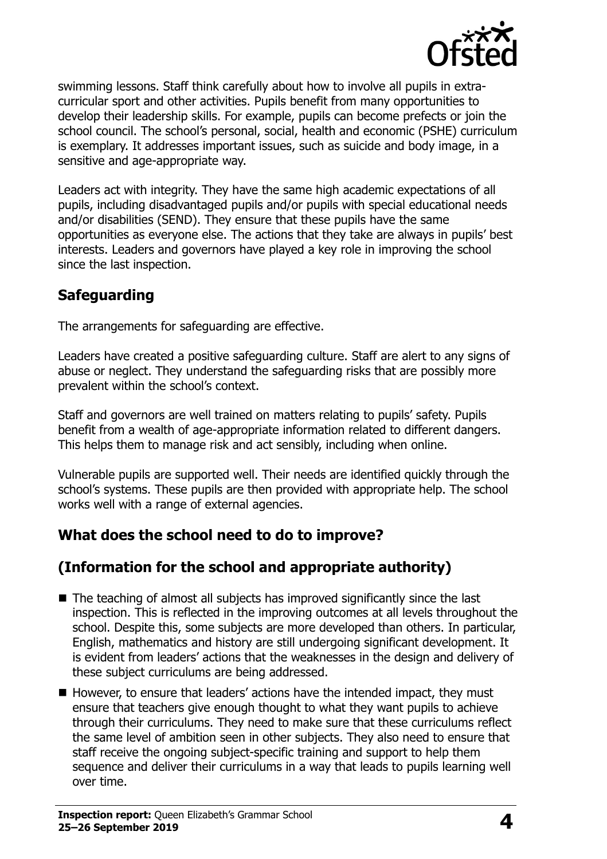

swimming lessons. Staff think carefully about how to involve all pupils in extracurricular sport and other activities. Pupils benefit from many opportunities to develop their leadership skills. For example, pupils can become prefects or join the school council. The school's personal, social, health and economic (PSHE) curriculum is exemplary. It addresses important issues, such as suicide and body image, in a sensitive and age-appropriate way.

Leaders act with integrity. They have the same high academic expectations of all pupils, including disadvantaged pupils and/or pupils with special educational needs and/or disabilities (SEND). They ensure that these pupils have the same opportunities as everyone else. The actions that they take are always in pupils' best interests. Leaders and governors have played a key role in improving the school since the last inspection.

# **Safeguarding**

The arrangements for safeguarding are effective.

Leaders have created a positive safeguarding culture. Staff are alert to any signs of abuse or neglect. They understand the safeguarding risks that are possibly more prevalent within the school's context.

Staff and governors are well trained on matters relating to pupils' safety. Pupils benefit from a wealth of age-appropriate information related to different dangers. This helps them to manage risk and act sensibly, including when online.

Vulnerable pupils are supported well. Their needs are identified quickly through the school's systems. These pupils are then provided with appropriate help. The school works well with a range of external agencies.

# **What does the school need to do to improve?**

# **(Information for the school and appropriate authority)**

- $\blacksquare$  The teaching of almost all subjects has improved significantly since the last inspection. This is reflected in the improving outcomes at all levels throughout the school. Despite this, some subjects are more developed than others. In particular, English, mathematics and history are still undergoing significant development. It is evident from leaders' actions that the weaknesses in the design and delivery of these subject curriculums are being addressed.
- However, to ensure that leaders' actions have the intended impact, they must ensure that teachers give enough thought to what they want pupils to achieve through their curriculums. They need to make sure that these curriculums reflect the same level of ambition seen in other subjects. They also need to ensure that staff receive the ongoing subject-specific training and support to help them sequence and deliver their curriculums in a way that leads to pupils learning well over time.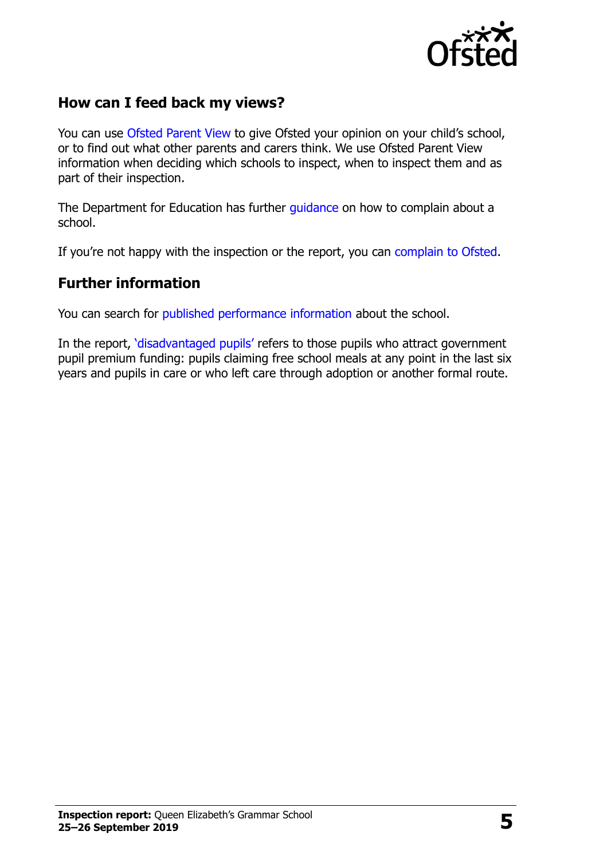

### **How can I feed back my views?**

You can use [Ofsted Parent View](http://parentview.ofsted.gov.uk/) to give Ofsted your opinion on your child's school, or to find out what other parents and carers think. We use Ofsted Parent View information when deciding which schools to inspect, when to inspect them and as part of their inspection.

The Department for Education has further quidance on how to complain about a school.

If you're not happy with the inspection or the report, you can [complain to Ofsted.](http://www.gov.uk/complain-ofsted-report)

#### **Further information**

You can search for [published performance information](http://www.compare-school-performance.service.gov.uk/) about the school.

In the report, '[disadvantaged pupils](http://www.gov.uk/guidance/pupil-premium-information-for-schools-and-alternative-provision-settings)' refers to those pupils who attract government pupil premium funding: pupils claiming free school meals at any point in the last six years and pupils in care or who left care through adoption or another formal route.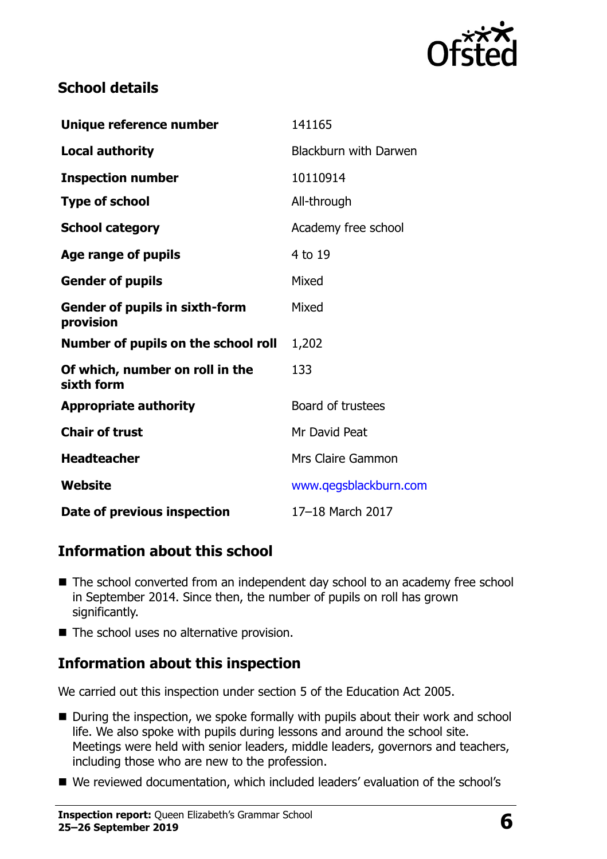

# **School details**

| Unique reference number                            | 141165                       |
|----------------------------------------------------|------------------------------|
| <b>Local authority</b>                             | <b>Blackburn with Darwen</b> |
| <b>Inspection number</b>                           | 10110914                     |
| <b>Type of school</b>                              | All-through                  |
| <b>School category</b>                             | Academy free school          |
| Age range of pupils                                | 4 to 19                      |
| <b>Gender of pupils</b>                            | Mixed                        |
| <b>Gender of pupils in sixth-form</b><br>provision | Mixed                        |
| Number of pupils on the school roll                | 1,202                        |
| Of which, number on roll in the<br>sixth form      | 133                          |
| <b>Appropriate authority</b>                       | Board of trustees            |
| <b>Chair of trust</b>                              | Mr David Peat                |
| <b>Headteacher</b>                                 | Mrs Claire Gammon            |
| Website                                            | www.qegsblackburn.com        |
| Date of previous inspection                        | 17-18 March 2017             |

# **Information about this school**

- The school converted from an independent day school to an academy free school in September 2014. Since then, the number of pupils on roll has grown significantly.
- The school uses no alternative provision.

### **Information about this inspection**

We carried out this inspection under section 5 of the Education Act 2005.

- During the inspection, we spoke formally with pupils about their work and school life. We also spoke with pupils during lessons and around the school site. Meetings were held with senior leaders, middle leaders, governors and teachers, including those who are new to the profession.
- We reviewed documentation, which included leaders' evaluation of the school's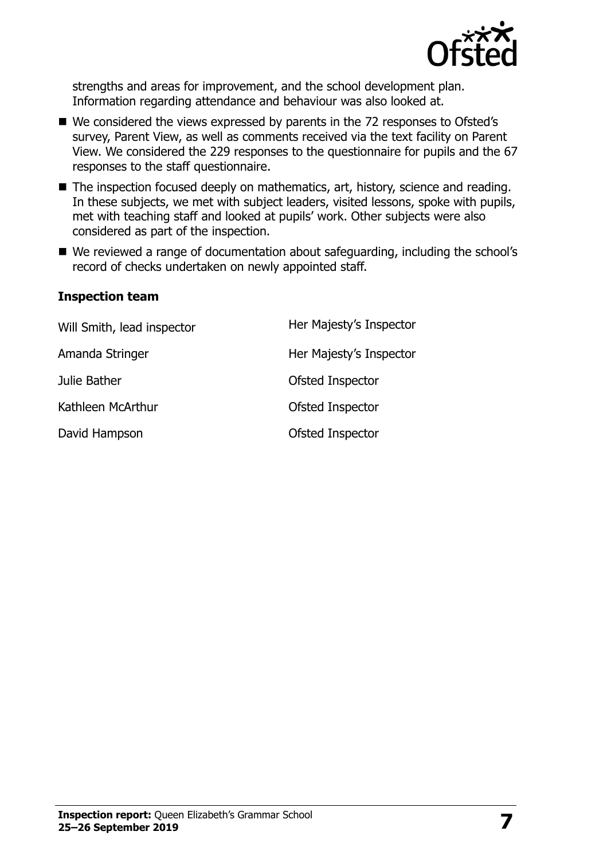

strengths and areas for improvement, and the school development plan. Information regarding attendance and behaviour was also looked at.

- We considered the views expressed by parents in the 72 responses to Ofsted's survey, Parent View, as well as comments received via the text facility on Parent View. We considered the 229 responses to the questionnaire for pupils and the 67 responses to the staff questionnaire.
- The inspection focused deeply on mathematics, art, history, science and reading. In these subjects, we met with subject leaders, visited lessons, spoke with pupils, met with teaching staff and looked at pupils' work. Other subjects were also considered as part of the inspection.
- We reviewed a range of documentation about safeguarding, including the school's record of checks undertaken on newly appointed staff.

#### **Inspection team**

| Will Smith, lead inspector | Her Majesty's Inspector |
|----------------------------|-------------------------|
| Amanda Stringer            | Her Majesty's Inspector |
| Julie Bather               | Ofsted Inspector        |
| Kathleen McArthur          | Ofsted Inspector        |
| David Hampson              | Ofsted Inspector        |